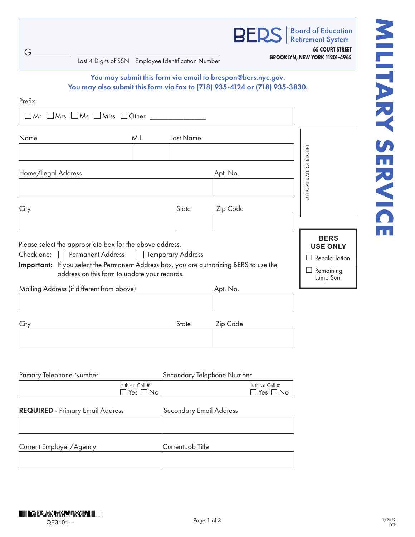| G<br>Last 4 Digits of SSN Employee Identification Number                                                                                                                                                                                                                         |                                                             |                         | BER                        |                               | <b>Board of Education</b><br><b>Retirement System</b><br><b>65 COURT STREET</b><br>BROOKLYN, NEW YORK 11201-4965 |  |
|----------------------------------------------------------------------------------------------------------------------------------------------------------------------------------------------------------------------------------------------------------------------------------|-------------------------------------------------------------|-------------------------|----------------------------|-------------------------------|------------------------------------------------------------------------------------------------------------------|--|
| You may also submit this form via fax to (718) 935-4124 or (718) 935-3830.                                                                                                                                                                                                       | You may submit this form via email to brespon@bers.nyc.gov. |                         |                            |                               |                                                                                                                  |  |
| Prefix<br>$\Box$ Mrs $\Box$ Ms $\Box$ Miss $\Box$ Other<br>$\Box$ Mr                                                                                                                                                                                                             |                                                             |                         |                            |                               |                                                                                                                  |  |
| Name                                                                                                                                                                                                                                                                             | M.I.                                                        | Last Name               |                            |                               |                                                                                                                  |  |
|                                                                                                                                                                                                                                                                                  |                                                             |                         |                            |                               |                                                                                                                  |  |
| Home/Legal Address                                                                                                                                                                                                                                                               |                                                             |                         | Apt. No.                   |                               | OFFICIAL DATE OF RECEIPT                                                                                         |  |
| City                                                                                                                                                                                                                                                                             |                                                             | State                   | Zip Code                   |                               |                                                                                                                  |  |
|                                                                                                                                                                                                                                                                                  |                                                             |                         |                            |                               |                                                                                                                  |  |
| Please select the appropriate box for the above address.<br>Check one: Permanent Address<br>Important: If you select the Permanent Address box, you are authorizing BERS to use the<br>address on this form to update your records.<br>Mailing Address (if different from above) | Temporary Address                                           |                         | Apt. No.                   |                               | <b>BERS</b><br><b>USE ONLY</b><br>$\Box$ Recalculation<br>$\Box$ Remaining<br>Lump Sum                           |  |
|                                                                                                                                                                                                                                                                                  |                                                             |                         |                            |                               |                                                                                                                  |  |
| City                                                                                                                                                                                                                                                                             |                                                             | State                   | Zip Code                   |                               |                                                                                                                  |  |
|                                                                                                                                                                                                                                                                                  |                                                             |                         |                            |                               |                                                                                                                  |  |
| Primary Telephone Number                                                                                                                                                                                                                                                         |                                                             |                         | Secondary Telephone Number |                               |                                                                                                                  |  |
|                                                                                                                                                                                                                                                                                  | Is this a Cell #<br>$\Box$ Yes $\Box$ No                    |                         |                            | Is this a Cell #<br>∃Yes □ No |                                                                                                                  |  |
| <b>REQUIRED</b> - Primary Email Address                                                                                                                                                                                                                                          |                                                             | Secondary Email Address |                            |                               |                                                                                                                  |  |
| Current Employer/Agency                                                                                                                                                                                                                                                          |                                                             | Current Job Title       |                            |                               |                                                                                                                  |  |
|                                                                                                                                                                                                                                                                                  |                                                             |                         |                            |                               |                                                                                                                  |  |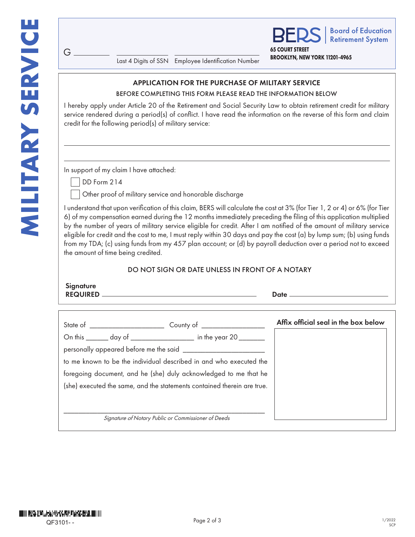G

|                        | <b>BERS</b>   Board of Education |
|------------------------|----------------------------------|
| <b>65 COURT STREET</b> |                                  |

**BROOKLYN, NEW YORK 11201-4965** Last 4 Digits of SSN Employee Identification Number

### APPLICATION FOR THE PURCHASE OF MILITARY SERVICE

#### BEFORE COMPLETING THIS FORM PLEASE READ THE INFORMATION BELOW

I hereby apply under Article 20 of the Retirement and Social Security Law to obtain retirement credit for military service rendered during a period(s) of conflict. I have read the information on the reverse of this form and claim credit for the following period(s) of military service:

In support of my claim I have attached:

DD Form 214

Other proof of military service and honorable discharge

I understand that upon verification of this claim, BERS will calculate the cost at 3% (for Tier 1, 2 or 4) or 6% (for Tier 6) of my compensation earned during the 12 months immediately preceding the filing of this application multiplied by the number of years of military service eligible for credit. After I am notified of the amount of military service eligible for credit and the cost to me, I must reply within 30 days and pay the cost (a) by lump sum; (b) using funds from my TDA; (c) using funds from my 457 plan account; or (d) by payroll deduction over a period not to exceed the amount of time being credited.

## DO NOT SIGN OR DATE UNLESS IN FRONT OF A NOTARY

| Signature<br><b>REQUIRED</b> | Date |
|------------------------------|------|
|                              |      |

|                                                                         | Affix official seal in the box below |
|-------------------------------------------------------------------------|--------------------------------------|
| On this _______ day of ___________________ in the year 20 _______       |                                      |
|                                                                         |                                      |
| to me known to be the individual described in and who executed the      |                                      |
| foregoing document, and he (she) duly acknowledged to me that he        |                                      |
| (she) executed the same, and the statements contained therein are true. |                                      |
|                                                                         |                                      |
|                                                                         |                                      |
| Signature of Notary Public or Commissioner of Deeds                     |                                      |